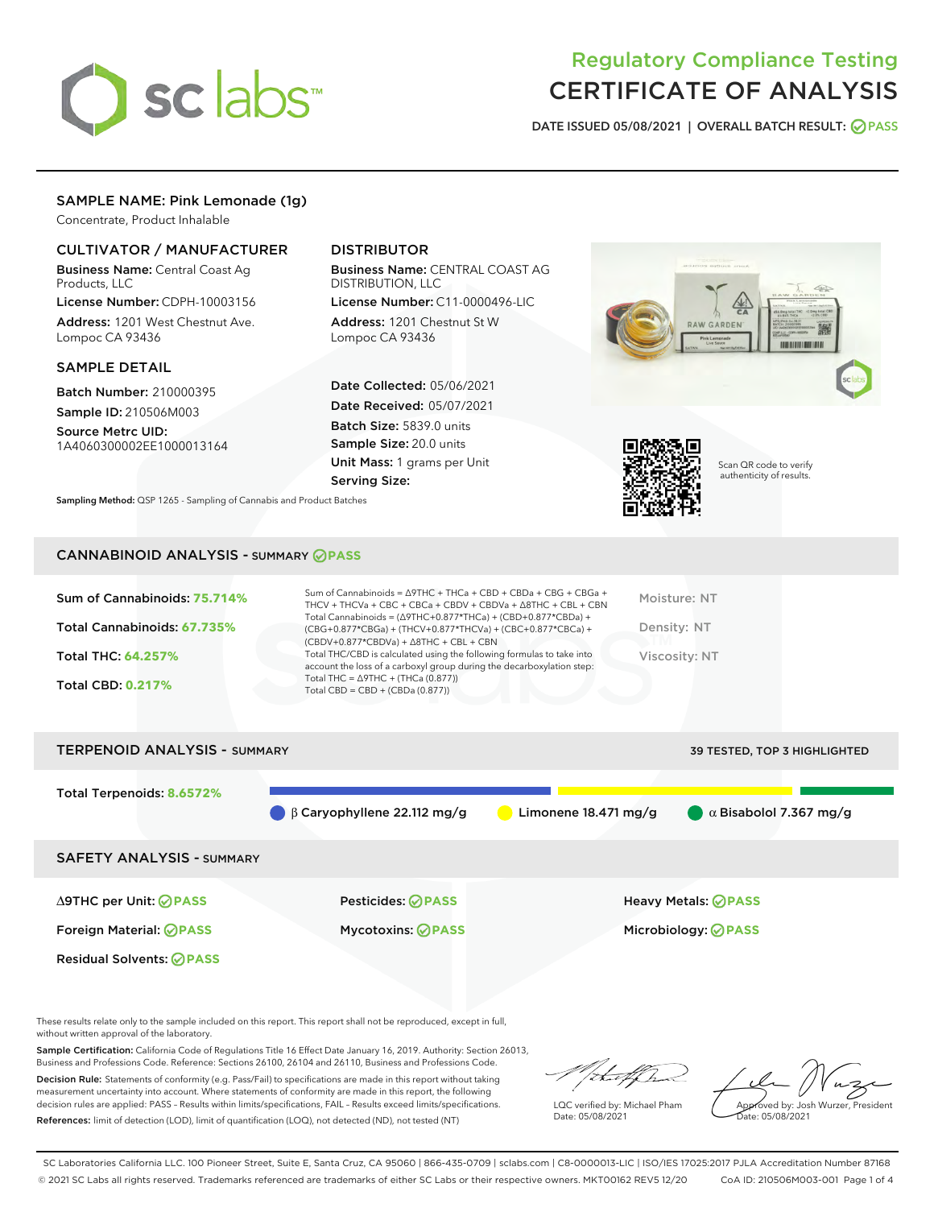

# Regulatory Compliance Testing CERTIFICATE OF ANALYSIS

DATE ISSUED 05/08/2021 | OVERALL BATCH RESULT: @ PASS

# SAMPLE NAME: Pink Lemonade (1g)

Concentrate, Product Inhalable

# CULTIVATOR / MANUFACTURER

Business Name: Central Coast Ag Products, LLC

License Number: CDPH-10003156 Address: 1201 West Chestnut Ave. Lompoc CA 93436

#### SAMPLE DETAIL

Batch Number: 210000395 Sample ID: 210506M003

Source Metrc UID: 1A4060300002EE1000013164

# DISTRIBUTOR

Business Name: CENTRAL COAST AG DISTRIBUTION, LLC

License Number: C11-0000496-LIC Address: 1201 Chestnut St W Lompoc CA 93436

Date Collected: 05/06/2021 Date Received: 05/07/2021 Batch Size: 5839.0 units Sample Size: 20.0 units Unit Mass: 1 grams per Unit Serving Size:

Sampling Method: QSP 1265 - Sampling of Cannabis and Product Batches



Scan QR code to verify authenticity of results.

### CANNABINOID ANALYSIS - SUMMARY **PASS**

| Sum of Cannabinoids: 75.714%<br>Total Cannabinoids: 67.735%<br>Total THC: 64.257%<br><b>Total CBD: 0.217%</b> | Sum of Cannabinoids = $\triangle$ 9THC + THCa + CBD + CBDa + CBG + CBGa +<br>THCV + THCVa + CBC + CBCa + CBDV + CBDVa + $\land$ 8THC + CBL + CBN<br>Total Cannabinoids = $(\Delta 9THC + 0.877*THCa) + (CBD+0.877*CBDa) +$<br>(CBG+0.877*CBGa) + (THCV+0.877*THCVa) + (CBC+0.877*CBCa) +<br>$(CBDV+0.877*CBDVa) + \Delta 8THC + CBL + CBN$<br>Total THC/CBD is calculated using the following formulas to take into<br>account the loss of a carboxyl group during the decarboxylation step:<br>Total THC = $\triangle$ 9THC + (THCa (0.877))<br>Total CBD = $CBD + (CBDa (0.877))$ | Moisture: NT<br>Density: NT<br>Viscosity: NT |
|---------------------------------------------------------------------------------------------------------------|-------------------------------------------------------------------------------------------------------------------------------------------------------------------------------------------------------------------------------------------------------------------------------------------------------------------------------------------------------------------------------------------------------------------------------------------------------------------------------------------------------------------------------------------------------------------------------------|----------------------------------------------|
| <b>TERPENOID ANALYSIS - SUMMARY</b>                                                                           |                                                                                                                                                                                                                                                                                                                                                                                                                                                                                                                                                                                     | 39 TESTED, TOP 3 HIGHLIGHTED                 |

Total Terpenoids: **8.6572%** β Caryophyllene 22.112 mg/g Limonene 18.471 mg/g α Bisabolol 7.367 mg/g SAFETY ANALYSIS - SUMMARY ∆9THC per Unit: **PASS** Pesticides: **PASS** Heavy Metals: **PASS** Foreign Material: **PASS** Mycotoxins: **PASS** Microbiology: **PASS** Residual Solvents: **OPASS** 

These results relate only to the sample included on this report. This report shall not be reproduced, except in full, without written approval of the laboratory.

Sample Certification: California Code of Regulations Title 16 Effect Date January 16, 2019. Authority: Section 26013, Business and Professions Code. Reference: Sections 26100, 26104 and 26110, Business and Professions Code.

Decision Rule: Statements of conformity (e.g. Pass/Fail) to specifications are made in this report without taking measurement uncertainty into account. Where statements of conformity are made in this report, the following decision rules are applied: PASS – Results within limits/specifications, FAIL – Results exceed limits/specifications. References: limit of detection (LOD), limit of quantification (LOQ), not detected (ND), not tested (NT)

that f

LQC verified by: Michael Pham Date: 05/08/2021

Approved by: Josh Wurzer, President Date: 05/08/2021

SC Laboratories California LLC. 100 Pioneer Street, Suite E, Santa Cruz, CA 95060 | 866-435-0709 | sclabs.com | C8-0000013-LIC | ISO/IES 17025:2017 PJLA Accreditation Number 87168 © 2021 SC Labs all rights reserved. Trademarks referenced are trademarks of either SC Labs or their respective owners. MKT00162 REV5 12/20 CoA ID: 210506M003-001 Page 1 of 4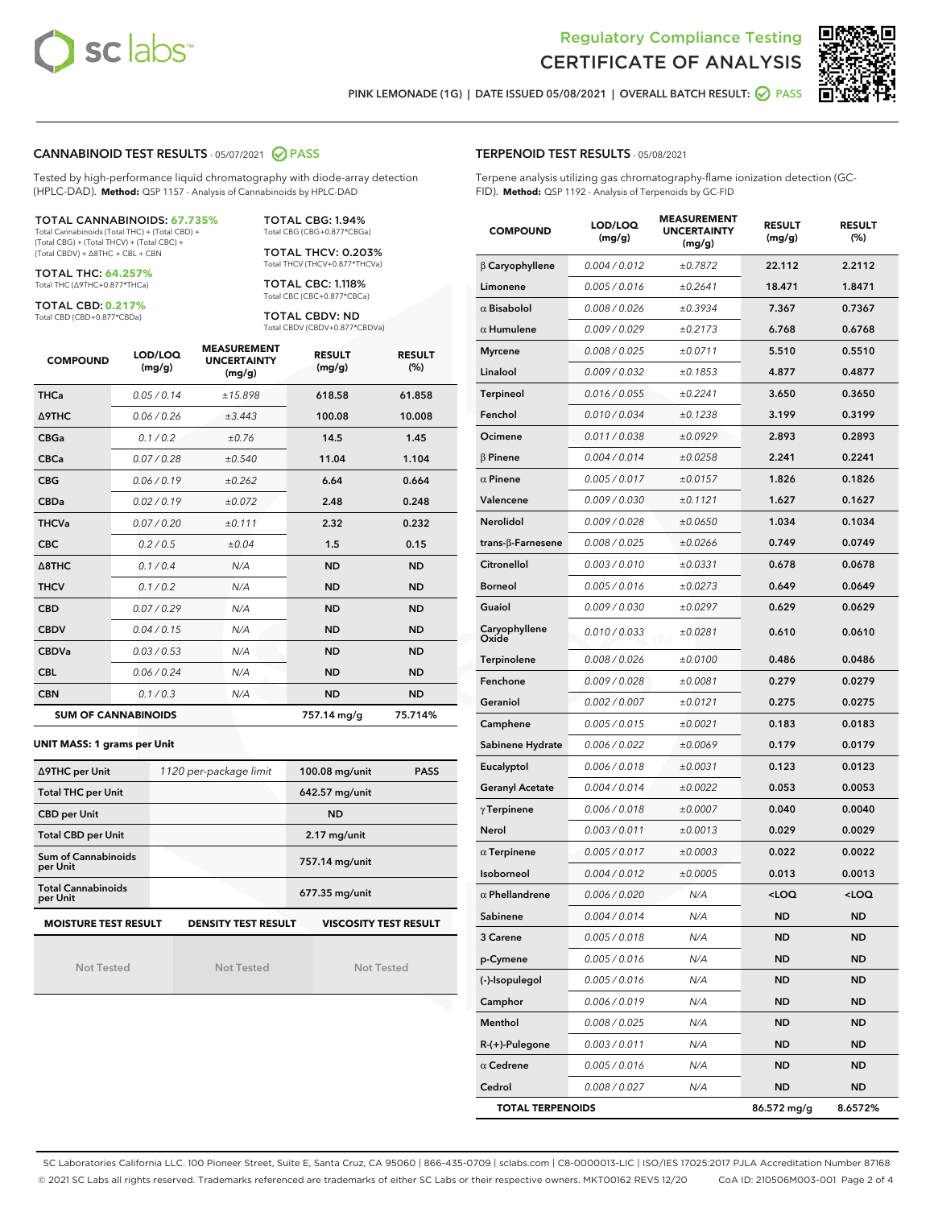



PINK LEMONADE (1G) | DATE ISSUED 05/08/2021 | OVERALL BATCH RESULT:  $\bigcirc$  PASS

#### CANNABINOID TEST RESULTS - 05/07/2021 2 PASS

Tested by high-performance liquid chromatography with diode-array detection (HPLC-DAD). **Method:** QSP 1157 - Analysis of Cannabinoids by HPLC-DAD

#### TOTAL CANNABINOIDS: **67.735%**

Total Cannabinoids (Total THC) + (Total CBD) + (Total CBG) + (Total THCV) + (Total CBC) + (Total CBDV) + ∆8THC + CBL + CBN

TOTAL THC: **64.257%** Total THC (∆9THC+0.877\*THCa)

TOTAL CBD: **0.217%**

Total CBD (CBD+0.877\*CBDa)

TOTAL CBG: 1.94% Total CBG (CBG+0.877\*CBGa)

TOTAL THCV: 0.203% Total THCV (THCV+0.877\*THCVa)

TOTAL CBC: 1.118% Total CBC (CBC+0.877\*CBCa)

TOTAL CBDV: ND Total CBDV (CBDV+0.877\*CBDVa)

| <b>COMPOUND</b>  | LOD/LOQ<br>(mg/g)          | <b>MEASUREMENT</b><br><b>UNCERTAINTY</b><br>(mg/g) | <b>RESULT</b><br>(mg/g) | <b>RESULT</b><br>(%) |
|------------------|----------------------------|----------------------------------------------------|-------------------------|----------------------|
| <b>THCa</b>      | 0.05/0.14                  | ±15.898                                            | 618.58                  | 61.858               |
| <b>A9THC</b>     | 0.06 / 0.26                | ±3.443                                             | 100.08                  | 10.008               |
| <b>CBGa</b>      | 0.1/0.2                    | ±0.76                                              | 14.5                    | 1.45                 |
| <b>CBCa</b>      | 0.07 / 0.28                | ±0.540                                             | 11.04                   | 1.104                |
| <b>CBG</b>       | 0.06/0.19                  | ±0.262                                             | 6.64                    | 0.664                |
| <b>CBDa</b>      | 0.02/0.19                  | ±0.072                                             | 2.48                    | 0.248                |
| <b>THCVa</b>     | 0.07 / 0.20                | ±0.111                                             | 2.32                    | 0.232                |
| <b>CBC</b>       | 0.2 / 0.5                  | ±0.04                                              | 1.5                     | 0.15                 |
| $\triangle$ 8THC | 0.1 / 0.4                  | N/A                                                | <b>ND</b>               | <b>ND</b>            |
| <b>THCV</b>      | 0.1/0.2                    | N/A                                                | <b>ND</b>               | <b>ND</b>            |
| <b>CBD</b>       | 0.07/0.29                  | N/A                                                | <b>ND</b>               | <b>ND</b>            |
| <b>CBDV</b>      | 0.04/0.15                  | N/A                                                | <b>ND</b>               | <b>ND</b>            |
| <b>CBDVa</b>     | 0.03/0.53                  | N/A                                                | <b>ND</b>               | <b>ND</b>            |
| <b>CBL</b>       | 0.06 / 0.24                | N/A                                                | <b>ND</b>               | <b>ND</b>            |
| <b>CBN</b>       | 0.1/0.3                    | N/A                                                | <b>ND</b>               | <b>ND</b>            |
|                  | <b>SUM OF CANNABINOIDS</b> |                                                    | 757.14 mg/g             | 75.714%              |

#### **UNIT MASS: 1 grams per Unit**

| ∆9THC per Unit                        | 1120 per-package limit | 100.08 mg/unit<br><b>PASS</b> |
|---------------------------------------|------------------------|-------------------------------|
| <b>Total THC per Unit</b>             |                        | 642.57 mg/unit                |
| <b>CBD per Unit</b>                   |                        | <b>ND</b>                     |
| <b>Total CBD per Unit</b>             |                        | $2.17$ mg/unit                |
| Sum of Cannabinoids<br>per Unit       |                        | 757.14 mg/unit                |
| <b>Total Cannabinoids</b><br>per Unit |                        | 677.35 mg/unit                |
| <b>MOISTURE TEST RESULT</b>           | DENSITY TEST RESULT    | <b>VISCOSITY TEST RESULT</b>  |

**MOISTURE TEST RESULT**

Not Tested

Not Tested

Not Tested

#### TERPENOID TEST RESULTS - 05/08/2021

Terpene analysis utilizing gas chromatography-flame ionization detection (GC-FID). **Method:** QSP 1192 - Analysis of Terpenoids by GC-FID

| <b>COMPOUND</b>         | LOD/LOQ<br>(mg/g) | <b>MEASUREMENT</b><br><b>UNCERTAINTY</b><br>(mg/g) | <b>RESULT</b><br>(mg/g) | <b>RESULT</b><br>(%) |
|-------------------------|-------------------|----------------------------------------------------|-------------------------|----------------------|
| $\beta$ Caryophyllene   | 0.004 / 0.012     | ±0.7872                                            | 22.112                  | 2.2112               |
| Limonene                | 0.005 / 0.016     | ±0.2641                                            | 18.471                  | 1.8471               |
| $\alpha$ Bisabolol      | 0.008 / 0.026     | ±0.3934                                            | 7.367                   | 0.7367               |
| $\alpha$ Humulene       | 0.009 / 0.029     | ±0.2173                                            | 6.768                   | 0.6768               |
| <b>Myrcene</b>          | 0.008 / 0.025     | ±0.0711                                            | 5.510                   | 0.5510               |
| Linalool                | 0.009/0.032       | ±0.1853                                            | 4.877                   | 0.4877               |
| <b>Terpineol</b>        | 0.016 / 0.055     | ±0.2241                                            | 3.650                   | 0.3650               |
| Fenchol                 | 0.010 / 0.034     | ±0.1238                                            | 3.199                   | 0.3199               |
| Ocimene                 | 0.011 / 0.038     | ±0.0929                                            | 2.893                   | 0.2893               |
| $\beta$ Pinene          | 0.004 / 0.014     | ±0.0258                                            | 2.241                   | 0.2241               |
| $\alpha$ Pinene         | 0.005 / 0.017     | ±0.0157                                            | 1.826                   | 0.1826               |
| Valencene               | 0.009 / 0.030     | ±0.1121                                            | 1.627                   | 0.1627               |
| Nerolidol               | 0.009 / 0.028     | ±0.0650                                            | 1.034                   | 0.1034               |
| trans-ß-Farnesene       | 0.008 / 0.025     | ±0.0266                                            | 0.749                   | 0.0749               |
| <b>Citronellol</b>      | 0.003/0.010       | ±0.0331                                            | 0.678                   | 0.0678               |
| <b>Borneol</b>          | 0.005 / 0.016     | ±0.0273                                            | 0.649                   | 0.0649               |
| Guaiol                  | 0.009 / 0.030     | ±0.0297                                            | 0.629                   | 0.0629               |
| Caryophyllene<br>Oxide  | 0.010 / 0.033     | ±0.0281                                            | 0.610                   | 0.0610               |
| Terpinolene             | 0.008 / 0.026     | ±0.0100                                            | 0.486                   | 0.0486               |
| Fenchone                | 0.009 / 0.028     | ±0.0081                                            | 0.279                   | 0.0279               |
| Geraniol                | 0.002 / 0.007     | ±0.0121                                            | 0.275                   | 0.0275               |
| Camphene                | 0.005 / 0.015     | ±0.0021                                            | 0.183                   | 0.0183               |
| Sabinene Hydrate        | 0.006 / 0.022     | ±0.0069                                            | 0.179                   | 0.0179               |
| Eucalyptol              | 0.006 / 0.018     | ±0.0031                                            | 0.123                   | 0.0123               |
| <b>Geranyl Acetate</b>  | 0.004 / 0.014     | ±0.0022                                            | 0.053                   | 0.0053               |
| $\gamma$ Terpinene      | 0.006 / 0.018     | ±0.0007                                            | 0.040                   | 0.0040               |
| Nerol                   | 0.003 / 0.011     | ±0.0013                                            | 0.029                   | 0.0029               |
| $\alpha$ Terpinene      | 0.005 / 0.017     | ±0.0003                                            | 0.022                   | 0.0022               |
| Isoborneol              | 0.004 / 0.012     | ±0.0005                                            | 0.013                   | 0.0013               |
| $\alpha$ Phellandrene   | 0.006 / 0.020     | N/A                                                | $\sim$ 00               | 100 <sub>1</sub>     |
| Sabinene                | 0.004 / 0.014     | N/A                                                | ND                      | <b>ND</b>            |
| 3 Carene                | 0.005 / 0.018     | N/A                                                | <b>ND</b>               | <b>ND</b>            |
| p-Cymene                | 0.005 / 0.016     | N/A                                                | ND                      | <b>ND</b>            |
| (-)-Isopulegol          | 0.005 / 0.016     | N/A                                                | ND                      | <b>ND</b>            |
| Camphor                 | 0.006 / 0.019     | N/A                                                | ND                      | ND                   |
| Menthol                 | 0.008 / 0.025     | N/A                                                | ND                      | ND                   |
| $R-(+)$ -Pulegone       | 0.003 / 0.011     | N/A                                                | ND                      | <b>ND</b>            |
| $\alpha$ Cedrene        | 0.005 / 0.016     | N/A                                                | ND                      | ND                   |
| Cedrol                  | 0.008 / 0.027     | N/A                                                | ND                      | <b>ND</b>            |
| <b>TOTAL TERPENOIDS</b> |                   |                                                    | 86.572 mg/g             | 8.6572%              |

SC Laboratories California LLC. 100 Pioneer Street, Suite E, Santa Cruz, CA 95060 | 866-435-0709 | sclabs.com | C8-0000013-LIC | ISO/IES 17025:2017 PJLA Accreditation Number 87168 © 2021 SC Labs all rights reserved. Trademarks referenced are trademarks of either SC Labs or their respective owners. MKT00162 REV5 12/20 CoA ID: 210506M003-001 Page 2 of 4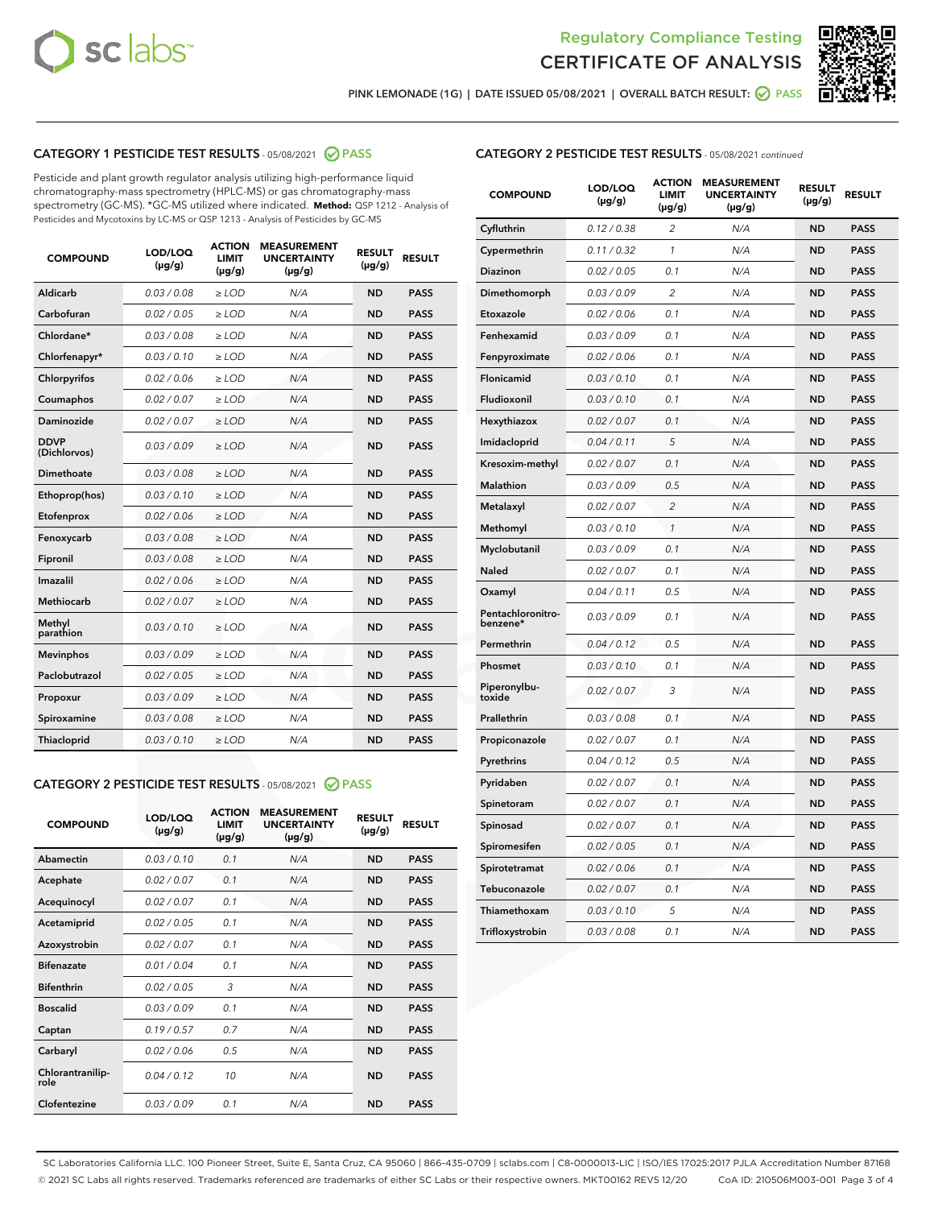



PINK LEMONADE (1G) | DATE ISSUED 05/08/2021 | OVERALL BATCH RESULT:  $\bigcirc$  PASS

# CATEGORY 1 PESTICIDE TEST RESULTS - 05/08/2021 2 PASS

Pesticide and plant growth regulator analysis utilizing high-performance liquid chromatography-mass spectrometry (HPLC-MS) or gas chromatography-mass spectrometry (GC-MS). \*GC-MS utilized where indicated. **Method:** QSP 1212 - Analysis of Pesticides and Mycotoxins by LC-MS or QSP 1213 - Analysis of Pesticides by GC-MS

| <b>COMPOUND</b>             | LOD/LOQ<br>$(\mu g/g)$ | <b>ACTION</b><br><b>LIMIT</b><br>$(\mu g/g)$ | <b>MEASUREMENT</b><br><b>UNCERTAINTY</b><br>$(\mu g/g)$ | <b>RESULT</b><br>$(\mu g/g)$ | <b>RESULT</b> |
|-----------------------------|------------------------|----------------------------------------------|---------------------------------------------------------|------------------------------|---------------|
| Aldicarb                    | 0.03 / 0.08            | $\ge$ LOD                                    | N/A                                                     | <b>ND</b>                    | <b>PASS</b>   |
| Carbofuran                  | 0.02/0.05              | $>$ LOD                                      | N/A                                                     | <b>ND</b>                    | <b>PASS</b>   |
| Chlordane*                  | 0.03 / 0.08            | $\ge$ LOD                                    | N/A                                                     | <b>ND</b>                    | <b>PASS</b>   |
| Chlorfenapyr*               | 0.03/0.10              | $\ge$ LOD                                    | N/A                                                     | <b>ND</b>                    | <b>PASS</b>   |
| Chlorpyrifos                | 0.02 / 0.06            | $\ge$ LOD                                    | N/A                                                     | <b>ND</b>                    | <b>PASS</b>   |
| Coumaphos                   | 0.02 / 0.07            | $\ge$ LOD                                    | N/A                                                     | <b>ND</b>                    | <b>PASS</b>   |
| Daminozide                  | 0.02/0.07              | $>$ LOD                                      | N/A                                                     | <b>ND</b>                    | <b>PASS</b>   |
| <b>DDVP</b><br>(Dichlorvos) | 0.03/0.09              | $\ge$ LOD                                    | N/A                                                     | <b>ND</b>                    | <b>PASS</b>   |
| Dimethoate                  | 0.03/0.08              | $\ge$ LOD                                    | N/A                                                     | <b>ND</b>                    | <b>PASS</b>   |
| Ethoprop(hos)               | 0.03/0.10              | $>$ LOD                                      | N/A                                                     | <b>ND</b>                    | <b>PASS</b>   |
| Etofenprox                  | 0.02 / 0.06            | $\ge$ LOD                                    | N/A                                                     | <b>ND</b>                    | <b>PASS</b>   |
| Fenoxycarb                  | 0.03/0.08              | $\ge$ LOD                                    | N/A                                                     | <b>ND</b>                    | <b>PASS</b>   |
| Fipronil                    | 0.03/0.08              | $\ge$ LOD                                    | N/A                                                     | <b>ND</b>                    | <b>PASS</b>   |
| Imazalil                    | 0.02 / 0.06            | $\ge$ LOD                                    | N/A                                                     | <b>ND</b>                    | <b>PASS</b>   |
| <b>Methiocarb</b>           | 0.02 / 0.07            | $\ge$ LOD                                    | N/A                                                     | <b>ND</b>                    | <b>PASS</b>   |
| Methyl<br>parathion         | 0.03/0.10              | $\ge$ LOD                                    | N/A                                                     | <b>ND</b>                    | <b>PASS</b>   |
| <b>Mevinphos</b>            | 0.03/0.09              | $>$ LOD                                      | N/A                                                     | <b>ND</b>                    | <b>PASS</b>   |
| Paclobutrazol               | 0.02 / 0.05            | $\ge$ LOD                                    | N/A                                                     | <b>ND</b>                    | <b>PASS</b>   |
| Propoxur                    | 0.03/0.09              | $\ge$ LOD                                    | N/A                                                     | <b>ND</b>                    | <b>PASS</b>   |
| Spiroxamine                 | 0.03/0.08              | $\ge$ LOD                                    | N/A                                                     | <b>ND</b>                    | <b>PASS</b>   |
| Thiacloprid                 | 0.03/0.10              | $\ge$ LOD                                    | N/A                                                     | <b>ND</b>                    | <b>PASS</b>   |

#### CATEGORY 2 PESTICIDE TEST RESULTS - 05/08/2021 @ PASS

| <b>COMPOUND</b>          | LOD/LOQ<br>$(\mu g/g)$ | <b>ACTION</b><br><b>LIMIT</b><br>$(\mu g/g)$ | <b>MEASUREMENT</b><br><b>UNCERTAINTY</b><br>$(\mu g/g)$ | <b>RESULT</b><br>$(\mu g/g)$ | <b>RESULT</b> |
|--------------------------|------------------------|----------------------------------------------|---------------------------------------------------------|------------------------------|---------------|
| Abamectin                | 0.03/0.10              | 0.1                                          | N/A                                                     | <b>ND</b>                    | <b>PASS</b>   |
| Acephate                 | 0.02/0.07              | 0.1                                          | N/A                                                     | <b>ND</b>                    | <b>PASS</b>   |
| Acequinocyl              | 0.02/0.07              | 0.1                                          | N/A                                                     | <b>ND</b>                    | <b>PASS</b>   |
| Acetamiprid              | 0.02/0.05              | 0.1                                          | N/A                                                     | <b>ND</b>                    | <b>PASS</b>   |
| Azoxystrobin             | 0.02/0.07              | 0.1                                          | N/A                                                     | <b>ND</b>                    | <b>PASS</b>   |
| <b>Bifenazate</b>        | 0.01/0.04              | 0.1                                          | N/A                                                     | <b>ND</b>                    | <b>PASS</b>   |
| <b>Bifenthrin</b>        | 0.02 / 0.05            | 3                                            | N/A                                                     | <b>ND</b>                    | <b>PASS</b>   |
| <b>Boscalid</b>          | 0.03/0.09              | 0.1                                          | N/A                                                     | <b>ND</b>                    | <b>PASS</b>   |
| Captan                   | 0.19/0.57              | 0.7                                          | N/A                                                     | <b>ND</b>                    | <b>PASS</b>   |
| Carbaryl                 | 0.02/0.06              | 0.5                                          | N/A                                                     | <b>ND</b>                    | <b>PASS</b>   |
| Chlorantranilip-<br>role | 0.04/0.12              | 10                                           | N/A                                                     | <b>ND</b>                    | <b>PASS</b>   |
| Clofentezine             | 0.03/0.09              | 0.1                                          | N/A                                                     | <b>ND</b>                    | <b>PASS</b>   |

# CATEGORY 2 PESTICIDE TEST RESULTS - 05/08/2021 continued

| <b>COMPOUND</b>               | LOD/LOQ<br>(µg/g) | <b>ACTION</b><br><b>LIMIT</b><br>$(\mu g/g)$ | <b>MEASUREMENT</b><br><b>UNCERTAINTY</b><br>(µg/g) | <b>RESULT</b><br>(µg/g) | <b>RESULT</b> |
|-------------------------------|-------------------|----------------------------------------------|----------------------------------------------------|-------------------------|---------------|
| Cyfluthrin                    | 0.12 / 0.38       | $\overline{c}$                               | N/A                                                | <b>ND</b>               | <b>PASS</b>   |
| Cypermethrin                  | 0.11 / 0.32       | 1                                            | N/A                                                | <b>ND</b>               | <b>PASS</b>   |
| Diazinon                      | 0.02 / 0.05       | 0.1                                          | N/A                                                | <b>ND</b>               | <b>PASS</b>   |
| Dimethomorph                  | 0.03 / 0.09       | 2                                            | N/A                                                | <b>ND</b>               | <b>PASS</b>   |
| Etoxazole                     | 0.02 / 0.06       | 0.1                                          | N/A                                                | ND                      | <b>PASS</b>   |
| Fenhexamid                    | 0.03 / 0.09       | 0.1                                          | N/A                                                | ND                      | <b>PASS</b>   |
| Fenpyroximate                 | 0.02 / 0.06       | 0.1                                          | N/A                                                | ND                      | PASS          |
| Flonicamid                    | 0.03 / 0.10       | 0.1                                          | N/A                                                | ND                      | <b>PASS</b>   |
| Fludioxonil                   | 0.03 / 0.10       | 0.1                                          | N/A                                                | <b>ND</b>               | <b>PASS</b>   |
| Hexythiazox                   | 0.02 / 0.07       | 0.1                                          | N/A                                                | <b>ND</b>               | <b>PASS</b>   |
| Imidacloprid                  | 0.04 / 0.11       | 5                                            | N/A                                                | <b>ND</b>               | <b>PASS</b>   |
| Kresoxim-methyl               | 0.02 / 0.07       | 0.1                                          | N/A                                                | <b>ND</b>               | <b>PASS</b>   |
| Malathion                     | 0.03 / 0.09       | 0.5                                          | N/A                                                | <b>ND</b>               | <b>PASS</b>   |
| Metalaxyl                     | 0.02 / 0.07       | $\overline{c}$                               | N/A                                                | <b>ND</b>               | <b>PASS</b>   |
| Methomyl                      | 0.03/0.10         | 1                                            | N/A                                                | <b>ND</b>               | <b>PASS</b>   |
| Myclobutanil                  | 0.03 / 0.09       | 0.1                                          | N/A                                                | ND                      | <b>PASS</b>   |
| Naled                         | 0.02 / 0.07       | 0.1                                          | N/A                                                | ND                      | PASS          |
| Oxamyl                        | 0.04 / 0.11       | 0.5                                          | N/A                                                | <b>ND</b>               | <b>PASS</b>   |
| Pentachloronitro-<br>benzene* | 0.03/0.09         | 0.1                                          | N/A                                                | ND                      | <b>PASS</b>   |
| Permethrin                    | 0.04 / 0.12       | 0.5                                          | N/A                                                | ND                      | <b>PASS</b>   |
| Phosmet                       | 0.03 / 0.10       | 0.1                                          | N/A                                                | <b>ND</b>               | <b>PASS</b>   |
| Piperonylbu-<br>toxide        | 0.02 / 0.07       | 3                                            | N/A                                                | ND                      | PASS          |
| Prallethrin                   | 0.03 / 0.08       | 0.1                                          | N/A                                                | ND                      | <b>PASS</b>   |
| Propiconazole                 | 0.02 / 0.07       | 0.1                                          | N/A                                                | ND                      | PASS          |
| Pyrethrins                    | 0.04 / 0.12       | 0.5                                          | N/A                                                | <b>ND</b>               | <b>PASS</b>   |
| Pyridaben                     | 0.02 / 0.07       | 0.1                                          | N/A                                                | ND                      | PASS          |
| Spinetoram                    | 0.02 / 0.07       | 0.1                                          | N/A                                                | ND                      | <b>PASS</b>   |
| Spinosad                      | 0.02 / 0.07       | 0.1                                          | N/A                                                | <b>ND</b>               | <b>PASS</b>   |
| Spiromesifen                  | 0.02 / 0.05       | 0.1                                          | N/A                                                | ND                      | <b>PASS</b>   |
| Spirotetramat                 | 0.02 / 0.06       | 0.1                                          | N/A                                                | ND                      | <b>PASS</b>   |
| Tebuconazole                  | 0.02 / 0.07       | 0.1                                          | N/A                                                | ND                      | <b>PASS</b>   |
| Thiamethoxam                  | 0.03 / 0.10       | 5                                            | N/A                                                | ND                      | <b>PASS</b>   |
| Trifloxystrobin               | 0.03 / 0.08       | 0.1                                          | N/A                                                | <b>ND</b>               | PASS          |

SC Laboratories California LLC. 100 Pioneer Street, Suite E, Santa Cruz, CA 95060 | 866-435-0709 | sclabs.com | C8-0000013-LIC | ISO/IES 17025:2017 PJLA Accreditation Number 87168 © 2021 SC Labs all rights reserved. Trademarks referenced are trademarks of either SC Labs or their respective owners. MKT00162 REV5 12/20 CoA ID: 210506M003-001 Page 3 of 4